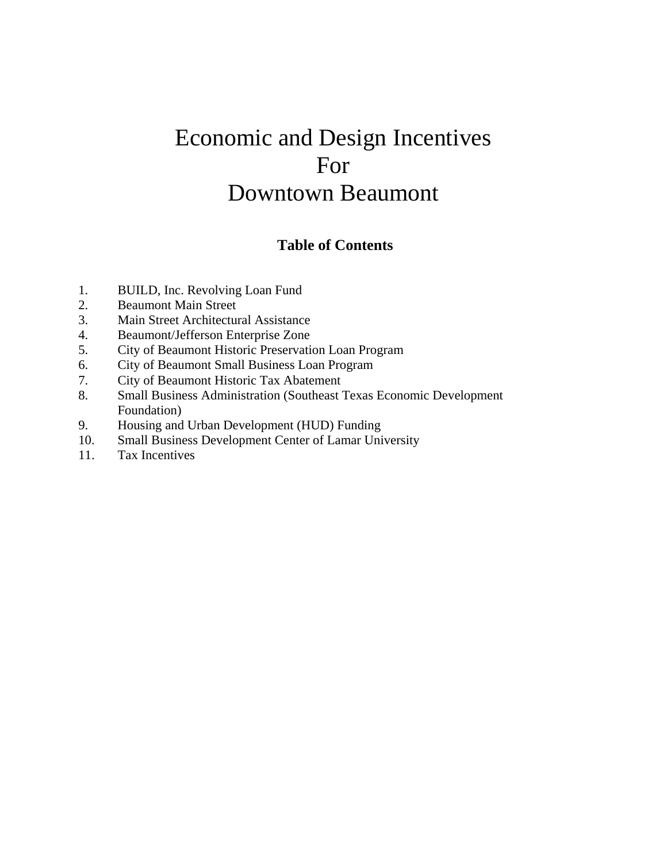# Economic and Design Incentives For Downtown Beaumont

# **Table of Contents**

- 1. BUILD, Inc. Revolving Loan Fund
- 2. Beaumont Main Street
- 3. Main Street Architectural Assistance
- 4. Beaumont/Jefferson Enterprise Zone
- 5. City of Beaumont Historic Preservation Loan Program
- 6. City of Beaumont Small Business Loan Program
- 7. City of Beaumont Historic Tax Abatement
- 8. Small Business Administration (Southeast Texas Economic Development Foundation)
- 9. Housing and Urban Development (HUD) Funding
- 10. Small Business Development Center of Lamar University
- 11. Tax Incentives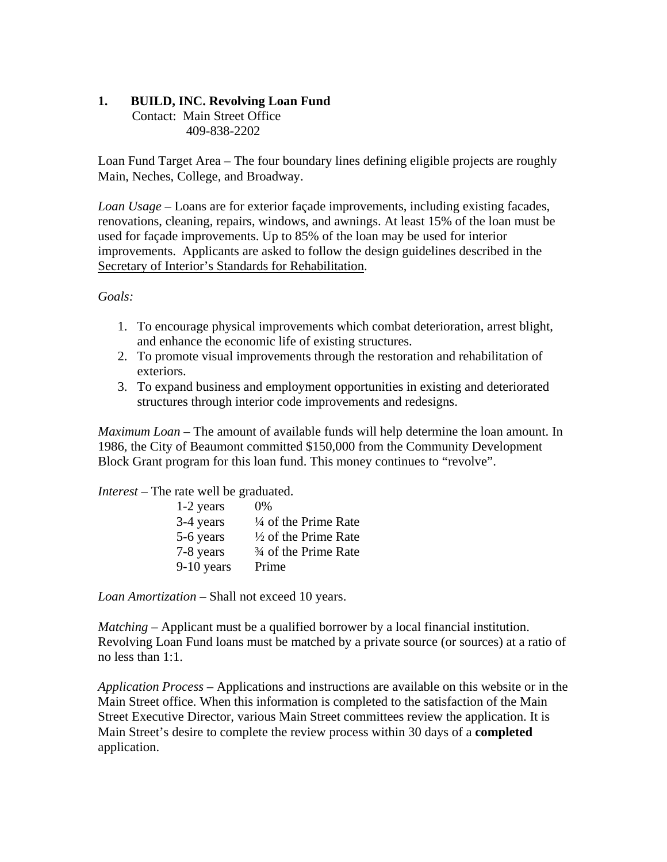# **1. BUILD, INC. Revolving Loan Fund**

**Contact: Main Street Office** 409-838-2202

Loan Fund Target Area – The four boundary lines defining eligible projects are roughly Main, Neches, College, and Broadway.

*Loan Usage* – Loans are for exterior façade improvements, including existing facades, renovations, cleaning, repairs, windows, and awnings. At least 15% of the loan must be used for façade improvements. Up to 85% of the loan may be used for interior improvements. Applicants are asked to follow the design guidelines described in the Secretary of Interior's Standards for Rehabilitation.

#### *Goals:*

- 1. To encourage physical improvements which combat deterioration, arrest blight, and enhance the economic life of existing structures.
- 2. To promote visual improvements through the restoration and rehabilitation of exteriors.
- 3. To expand business and employment opportunities in existing and deteriorated structures through interior code improvements and redesigns.

*Maximum Loan* – The amount of available funds will help determine the loan amount. In 1986, the City of Beaumont committed \$150,000 from the Community Development Block Grant program for this loan fund. This money continues to "revolve".

*Interest* – The rate well be graduated.

| 0%                              |
|---------------------------------|
| $\frac{1}{4}$ of the Prime Rate |
| $\frac{1}{2}$ of the Prime Rate |
| 3/4 of the Prime Rate           |
| Prime                           |
|                                 |

*Loan Amortization* – Shall not exceed 10 years.

*Matching* – Applicant must be a qualified borrower by a local financial institution. Revolving Loan Fund loans must be matched by a private source (or sources) at a ratio of no less than 1:1.

*Application Process* – Applications and instructions are available on this website or in the Main Street office. When this information is completed to the satisfaction of the Main Street Executive Director, various Main Street committees review the application. It is Main Street's desire to complete the review process within 30 days of a **completed** application.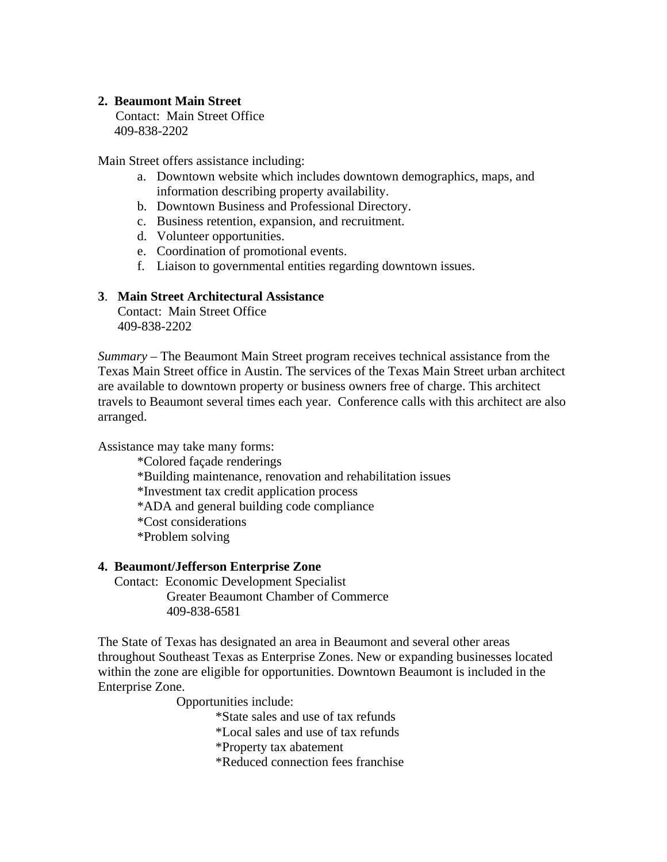#### **2. Beaumont Main Street**

Contact: Main Street Office 409-838-2202

Main Street offers assistance including:

- a. Downtown website which includes downtown demographics, maps, and information describing property availability.
- b. Downtown Business and Professional Directory.
- c. Business retention, expansion, and recruitment.
- d. Volunteer opportunities.
- e. Coordination of promotional events.
- f. Liaison to governmental entities regarding downtown issues.

#### **3**. **Main Street Architectural Assistance**

 Contact: Main Street Office 409-838-2202

*Summary* – The Beaumont Main Street program receives technical assistance from the Texas Main Street office in Austin. The services of the Texas Main Street urban architect are available to downtown property or business owners free of charge. This architect travels to Beaumont several times each year. Conference calls with this architect are also arranged.

Assistance may take many forms:

- \*Colored façade renderings
- \*Building maintenance, renovation and rehabilitation issues
- \*Investment tax credit application process

\*ADA and general building code compliance

\*Cost considerations

\*Problem solving

#### **4. Beaumont/Jefferson Enterprise Zone**

 Contact: Economic Development Specialist Greater Beaumont Chamber of Commerce 409-838-6581

The State of Texas has designated an area in Beaumont and several other areas throughout Southeast Texas as Enterprise Zones. New or expanding businesses located within the zone are eligible for opportunities. Downtown Beaumont is included in the Enterprise Zone.

Opportunities include:

\*State sales and use of tax refunds

\*Local sales and use of tax refunds

\*Property tax abatement

\*Reduced connection fees franchise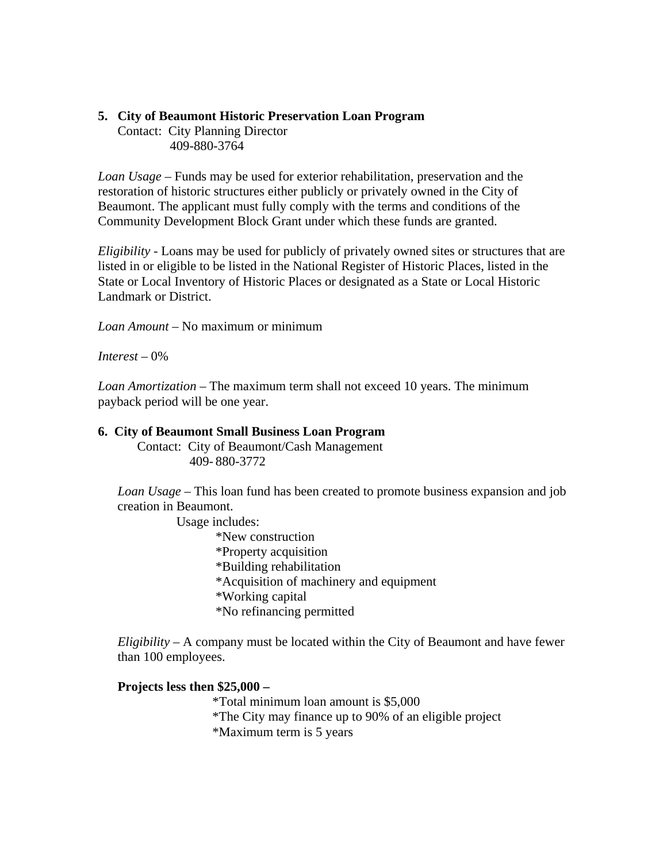# **5. City of Beaumont Historic Preservation Loan Program**

 Contact: City Planning Director 409-880-3764

*Loan Usage* – Funds may be used for exterior rehabilitation, preservation and the restoration of historic structures either publicly or privately owned in the City of Beaumont. The applicant must fully comply with the terms and conditions of the Community Development Block Grant under which these funds are granted.

*Eligibility* - Loans may be used for publicly of privately owned sites or structures that are listed in or eligible to be listed in the National Register of Historic Places, listed in the State or Local Inventory of Historic Places or designated as a State or Local Historic Landmark or District.

*Loan Amount* – No maximum or minimum

*Interest* – 0%

*Loan Amortization* – The maximum term shall not exceed 10 years. The minimum payback period will be one year.

#### **6. City of Beaumont Small Business Loan Program**

 Contact: City of Beaumont/Cash Management 409- 880-3772

 *Loan Usage* – This loan fund has been created to promote business expansion and job creation in Beaumont.

Usage includes:

 \*New construction \*Property acquisition \*Building rehabilitation \*Acquisition of machinery and equipment \*Working capital \*No refinancing permitted

*Eligibility* – A company must be located within the City of Beaumont and have fewer than 100 employees.

# **Projects less then \$25,000 –**

\*Total minimum loan amount is \$5,000

\*The City may finance up to 90% of an eligible project

\*Maximum term is 5 years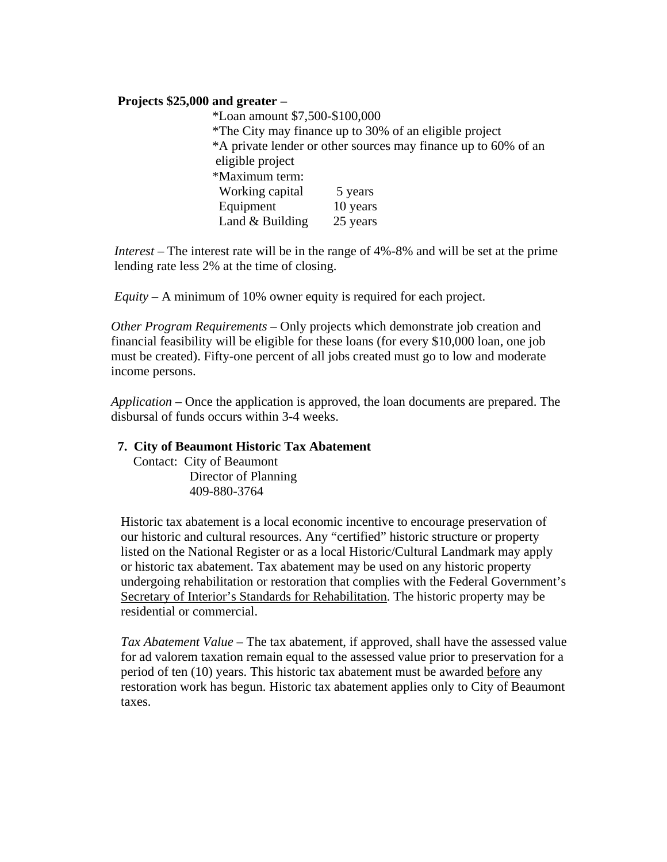#### **Projects \$25,000 and greater –**

 \*Loan amount \$7,500-\$100,000 \*The City may finance up to 30% of an eligible project \*A private lender or other sources may finance up to 60% of an eligible project \*Maximum term: Working capital 5 years Equipment 10 years Land & Building 25 years

 *Interest* – The interest rate will be in the range of 4%-8% and will be set at the prime lending rate less 2% at the time of closing.

 *Equity* – A minimum of 10% owner equity is required for each project.

 *Other Program Requirements* – Only projects which demonstrate job creation and financial feasibility will be eligible for these loans (for every \$10,000 loan, one job must be created). Fifty-one percent of all jobs created must go to low and moderate income persons.

 *Application* – Once the application is approved, the loan documents are prepared. The disbursal of funds occurs within 3-4 weeks.

#### **7. City of Beaumont Historic Tax Abatement**

Contact: City of Beaumont Director of Planning 409-880-3764

 Historic tax abatement is a local economic incentive to encourage preservation of our historic and cultural resources. Any "certified" historic structure or property listed on the National Register or as a local Historic/Cultural Landmark may apply or historic tax abatement. Tax abatement may be used on any historic property undergoing rehabilitation or restoration that complies with the Federal Government's Secretary of Interior's Standards for Rehabilitation. The historic property may be residential or commercial.

 *Tax Abatement Value* – The tax abatement, if approved, shall have the assessed value for ad valorem taxation remain equal to the assessed value prior to preservation for a period of ten (10) years. This historic tax abatement must be awarded before any restoration work has begun. Historic tax abatement applies only to City of Beaumont taxes.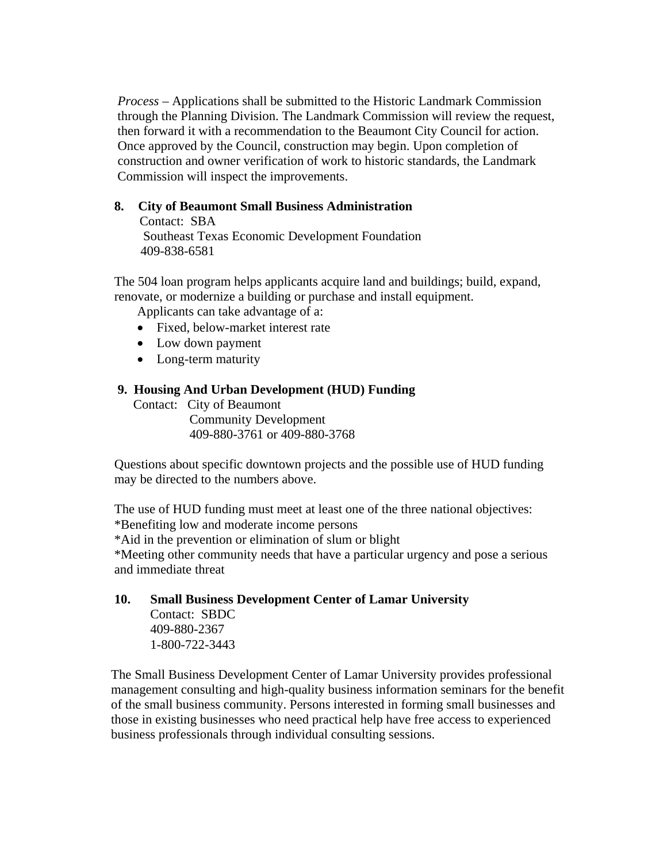*Process* – Applications shall be submitted to the Historic Landmark Commission through the Planning Division. The Landmark Commission will review the request, then forward it with a recommendation to the Beaumont City Council for action. Once approved by the Council, construction may begin. Upon completion of construction and owner verification of work to historic standards, the Landmark Commission will inspect the improvements.

# **8. City of Beaumont Small Business Administration**

Contact: SBA Southeast Texas Economic Development Foundation 409-838-6581

 The 504 loan program helps applicants acquire land and buildings; build, expand, renovate, or modernize a building or purchase and install equipment.

Applicants can take advantage of a:

- Fixed, below-market interest rate
- Low down payment
- Long-term maturity

#### **9. Housing And Urban Development (HUD) Funding**

Contact: City of Beaumont Community Development 409-880-3761 or 409-880-3768

 Questions about specific downtown projects and the possible use of HUD funding may be directed to the numbers above.

 The use of HUD funding must meet at least one of the three national objectives: \*Benefiting low and moderate income persons \*Aid in the prevention or elimination of slum or blight \*Meeting other community needs that have a particular urgency and pose a serious and immediate threat

# **10. Small Business Development Center of Lamar University** Contact: SBDC 409-880-2367 1-800-722-3443

 The Small Business Development Center of Lamar University provides professional management consulting and high-quality business information seminars for the benefit of the small business community. Persons interested in forming small businesses and those in existing businesses who need practical help have free access to experienced business professionals through individual consulting sessions.